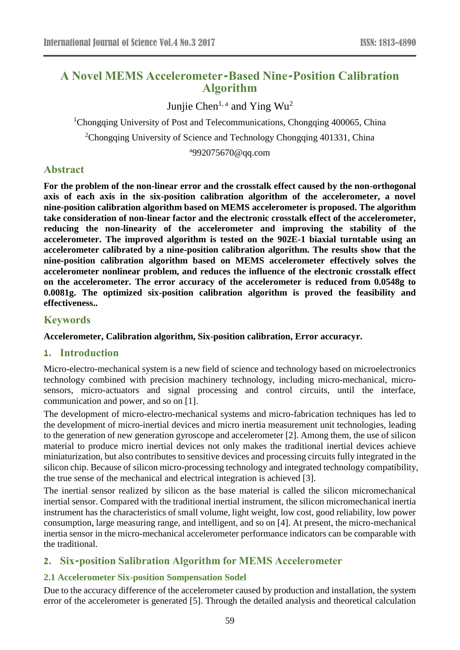# **A Novel MEMS Accelerometer-Based Nine-Position Calibration Algorithm**

Junjie Chen<sup>1, a</sup> and Ying Wu<sup>2</sup>

<sup>1</sup>Chongqing University of Post and Telecommunications, Chongqing 400065, China

<sup>2</sup>Chongqing University of Science and Technology Chongqing 401331, China

a 992075670@qq.com

# **Abstract**

**For the problem of the non-linear error and the crosstalk effect caused by the non-orthogonal axis of each axis in the six-position calibration algorithm of the accelerometer, a novel nine-position calibration algorithm based on MEMS accelerometer is proposed. The algorithm take consideration of non-linear factor and the electronic crosstalk effect of the accelerometer, reducing the non-linearity of the accelerometer and improving the stability of the accelerometer. The improved algorithm is tested on the 902E-1 biaxial turntable using an accelerometer calibrated by a nine-position calibration algorithm. The results show that the nine-position calibration algorithm based on MEMS accelerometer effectively solves the accelerometer nonlinear problem, and reduces the influence of the electronic crosstalk effect on the accelerometer. The error accuracy of the accelerometer is reduced from 0.0548g to 0.0081g. The optimized six-position calibration algorithm is proved the feasibility and effectiveness..**

## **Keywords**

### **Accelerometer, Calibration algorithm, Six-position calibration, Error accuracyr.**

## **1. Introduction**

Micro-electro-mechanical system is a new field of science and technology based on microelectronics technology combined with precision machinery technology, including micro-mechanical, microsensors, micro-actuators and signal processing and control circuits, until the interface, communication and power, and so on [1].

The development of micro-electro-mechanical systems and micro-fabrication techniques has led to the development of micro-inertial devices and micro inertia measurement unit technologies, leading to the generation of new generation gyroscope and accelerometer [2]. Among them, the use of silicon material to produce micro inertial devices not only makes the traditional inertial devices achieve miniaturization, but also contributes to sensitive devices and processing circuits fully integrated in the silicon chip. Because of silicon micro-processing technology and integrated technology compatibility, the true sense of the mechanical and electrical integration is achieved [3].

The inertial sensor realized by silicon as the base material is called the silicon micromechanical inertial sensor. Compared with the traditional inertial instrument, the silicon micromechanical inertia instrument has the characteristics of small volume, light weight, low cost, good reliability, low power consumption, large measuring range, and intelligent, and so on [4]. At present, the micro-mechanical inertia sensor in the micro-mechanical accelerometer performance indicators can be comparable with the traditional.

# **2. Six-position Salibration Algorithm for MEMS Accelerometer**

## **2.1 Accelerometer Six-position Sompensation Sodel**

Due to the accuracy difference of the accelerometer caused by production and installation, the system error of the accelerometer is generated [5]. Through the detailed analysis and theoretical calculation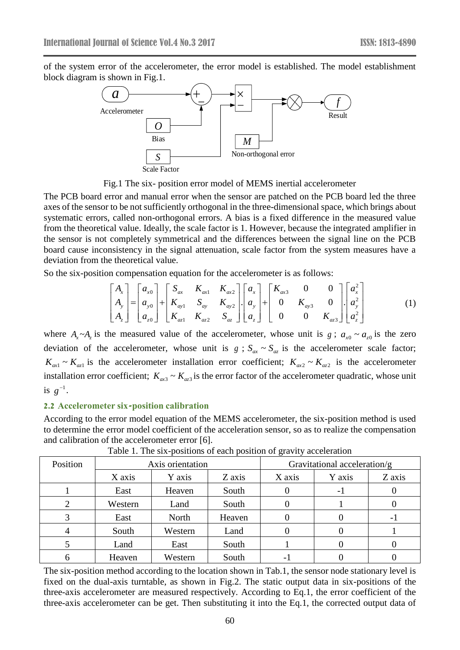of the system error of the accelerometer, the error model is established. The model establishment block diagram is shown in Fig.1.



Fig.1 The six- position error model of MEMS inertial accelerometer

The PCB board error and manual error when the sensor are patched on the PCB board led the three axes of the sensor to be not sufficiently orthogonal in the three-dimensional space, which brings about systematic errors, called non-orthogonal errors. A bias is a fixed difference in the measured value from the theoretical value. Ideally, the scale factor is 1. However, because the integrated amplifier in the sensor is not completely symmetrical and the differences between the signal line on the PCB board cause inconsistency in the signal attenuation, scale factor from the system measures have a deviation from the theoretical value.

So the six-position compensation equation for the accelerometer is as follows:

$$
\begin{bmatrix} A_{x} \\ A_{y} \\ A_{z} \end{bmatrix} = \begin{bmatrix} a_{x0} \\ a_{y0} \\ a_{z0} \end{bmatrix} + \begin{bmatrix} S_{ax} & K_{ax1} & K_{ax2} \\ K_{ay1} & S_{ay} & K_{ay2} \\ K_{az1} & K_{az2} & S_{az} \end{bmatrix} \begin{bmatrix} a_{x} \\ a_{y} \\ a_{z} \end{bmatrix} + \begin{bmatrix} K_{ax3} & 0 & 0 \\ 0 & K_{ay3} & 0 \\ 0 & 0 & K_{az3} \end{bmatrix} \begin{bmatrix} a_{x}^{2} \\ a_{y}^{2} \\ a_{z}^{2} \end{bmatrix}
$$
 (1)

where  $A_x \sim A_z$  is the measured value of the accelerometer, whose unit is  $g: a_{x0} \sim a_{z0}$  is the zero deviation of the accelerometer, whose unit is  $g : S_{ax} \sim S_{az}$  is the accelerometer scale factor;  $K_{ax1} \sim K_{az1}$  is the accelerometer installation error coefficient;  $K_{ax2} \sim K_{az2}$  is the accelerometer installation error coefficient;  $K_{ax3} \sim K_{az3}$  is the error factor of the accelerometer quadratic, whose unit is  $g^{-1}$ .

### **2.2 Accelerometer six-position calibration**

According to the error model equation of the MEMS accelerometer, the six-position method is used to determine the error model coefficient of the acceleration sensor, so as to realize the compensation and calibration of the accelerometer error [6].

| Position | Axis orientation |         |        | Gravitational acceleration/g |        |        |
|----------|------------------|---------|--------|------------------------------|--------|--------|
|          | X axis           | Y axis  | Z axis | X axis                       | Y axis | Z axis |
|          | East             | Heaven  | South  | $\theta$                     | - 1    |        |
|          | Western          | Land    | South  |                              |        |        |
|          | East             | North   | Heaven |                              |        |        |
|          | South            | Western | Land   |                              |        |        |
|          | Land             | East    | South  |                              |        |        |
|          | Heaven           | Western | South  | -                            |        |        |

Table 1. The six-positions of each position of gravity acceleration

The six-position method according to the location shown in Tab.1, the sensor node stationary level is fixed on the dual-axis turntable, as shown in Fig.2. The static output data in six-positions of the three-axis accelerometer are measured respectively. According to Eq.1, the error coefficient of the three-axis accelerometer can be get. Then substituting it into the Eq.1, the corrected output data of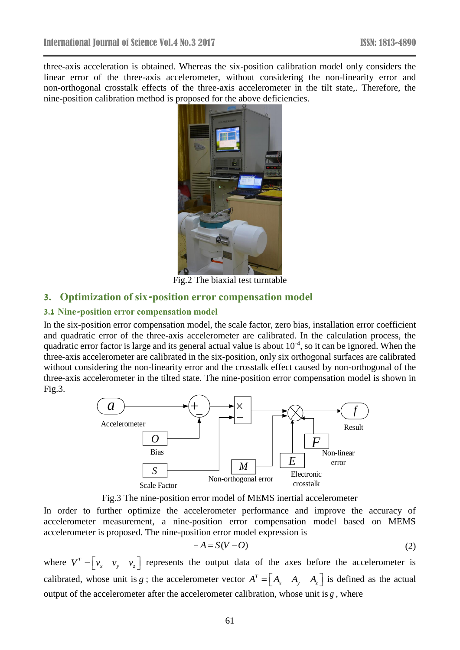three-axis acceleration is obtained. Whereas the six-position calibration model only considers the linear error of the three-axis accelerometer, without considering the non-linearity error and non-orthogonal crosstalk effects of the three-axis accelerometer in the tilt state,. Therefore, the nine-position calibration method is proposed for the above deficiencies.



Fig.2 The biaxial test turntable

## **3. Optimization of six-position error compensation model**

#### **3.1 Nine-position error compensation model**

In the six-position error compensation model, the scale factor, zero bias, installation error coefficient and quadratic error of the three-axis accelerometer are calibrated. In the calculation process, the quadratic error factor is large and its general actual value is about  $10^{-4}$ , so it can be ignored. When the three-axis accelerometer are calibrated in the six-position, only six orthogonal surfaces are calibrated without considering the non-linearity error and the crosstalk effect caused by non-orthogonal of the three-axis accelerometer in the tilted state. The nine-position error compensation model is shown in Fig.3.



Fig.3 The nine-position error model of MEMS inertial accelerometer

In order to further optimize the accelerometer performance and improve the accuracy of accelerometer measurement, a nine-position error compensation model based on MEMS accelerometer is proposed. The nine-position error model expression is

$$
=A=S(V-O)
$$
 (2)

where  $V^T = \begin{bmatrix} v_x & v_y & v_z \end{bmatrix}$  represents the output data of the axes before the accelerometer is calibrated, whose unit is g; the accelerometer vector  $A^T = \begin{bmatrix} A_x & A_y & A_z \end{bmatrix}$  is defined as the actual output of the accelerometer after the accelerometer calibration, whose unit is *g* , where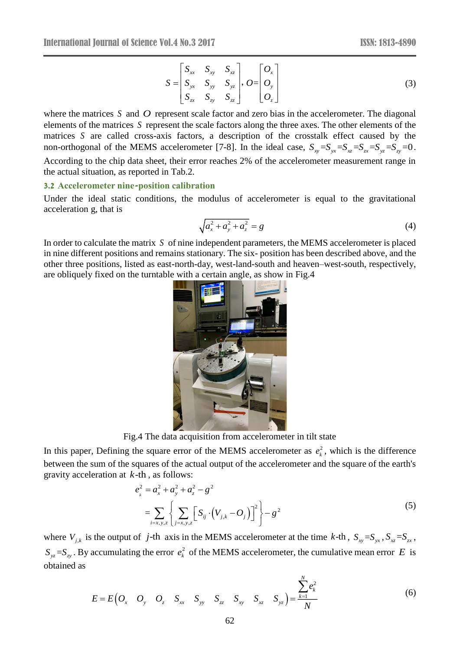$$
S = \begin{bmatrix} S_{xx} & S_{xy} & S_{xz} \\ S_{yx} & S_{yy} & S_{yz} \\ S_{zx} & S_{zy} & S_{zz} \end{bmatrix}, \quad O = \begin{bmatrix} O_x \\ O_y \\ O_z \end{bmatrix} \tag{3}
$$

where the matrices  $S$  and  $O$  represent scale factor and zero bias in the accelerometer. The diagonal elements of the matrices *S* represent the scale factors along the three axes. The other elements of the matrices *S* are called cross-axis factors, a description of the crosstalk effect caused by the matrices 3 are called cross-axisticators, a description of the crosstant effect caused by the non-orthogonal of the MEMS accelerometer [7-8]. In the ideal case,  $S_{xy} = S_{yx} = S_{xz} = S_{yz} = S_{xy} = 0$ . According to the chip data sheet, their error reaches 2% of the accelerometer measurement range in the actual situation, as reported in Tab.2.

#### **3.2 Accelerometer nine-position calibration**

Under the ideal static conditions, the modulus of accelerometer is equal to the gravitational acceleration g, that is

$$
\sqrt{a_x^2 + a_y^2 + a_z^2} = g \tag{4}
$$

In order to calculate the matrix *S* of nine independent parameters, the MEMS accelerometer is placed in nine different positions and remains stationary. The six- position has been described above, and the other three positions, listed as east-north-day, west-land-south and heaven–west-south, respectively, are obliquely fixed on the turntable with a certain angle, as show in Fig.4



Fig.4 The data acquisition from accelerometer in tilt state

In this paper, Defining the square error of the MEMS accelerometer as  $e_k^2$  $e_k^2$ , which is the difference between the sum of the squares of the actual output of the accelerometer and the square of the earth's gravity acceleration at *k*-th , as follows:

c-th, as follows:  
\n
$$
e_{k}^{2} = a_{x}^{2} + a_{y}^{2} + a_{z}^{2} - g^{2}
$$
\n
$$
= \sum_{i=x,y,z} \left\{ \sum_{j=x,y,z} \left[ S_{ij} \cdot (V_{j,k} - O_{j}) \right]^{2} \right\} - g^{2}
$$
\n(5)

where  $V_{j,k}$  is the output of j-th axis in the MEMS accelerometer at the time k-th,  $S_{xy} = S_{yx}$ ,  $S_{xz} = S_{zx}$ ,  $S_{yz} = S_{zy}$ . By accumulating the error  $e_k^2$  $e_k^2$  of the MEMS accelerometer, the cumulative mean error E is obtained as

$$
E = E\left(O_x \quad O_y \quad O_z \quad S_{xx} \quad S_{yy} \quad S_{zz} \quad S_{xy} \quad S_{xz} \quad S_{yz}\right) = \frac{\sum_{k=1}^{N} e_k^2}{N}
$$
(6)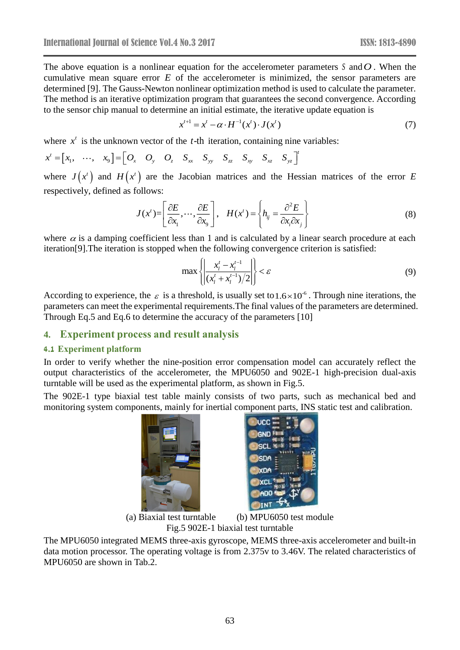The above equation is a nonlinear equation for the accelerometer parameters  $S$  and  $O$ . When the cumulative mean square error  $E$  of the accelerometer is minimized, the sensor parameters are determined [9]. The Gauss-Newton nonlinear optimization method is used to calculate the parameter. The method is an iterative optimization program that guarantees the second convergence. According to the sensor chip manual to determine an initial estimate, the iterative update equation is

$$
x^{t+1} = x^t - \alpha \cdot H^{-1}(x^t) \cdot J(x^t)
$$
 (7)

where  $x^t$  is the unknown vector of the t-th iteration, containing nine variables:

$$
x' = \begin{bmatrix} x_1, & \cdots, & x_9 \end{bmatrix} = \begin{bmatrix} O_x & O_y & O_z & S_{xx} & S_{yy} & S_{zz} & S_{xy} & S_{xz} & S_{yz} \end{bmatrix}'
$$

where  $J(x^i)$  and  $H(x^i)$  are the Jacobian matrices and the Hessian matrices of the error *E* respectively, defined as follows:

$$
J(x^t) = \left[\frac{\partial E}{\partial x_1}, \cdots, \frac{\partial E}{\partial x_9}\right], \quad H(x^t) = \left\{ h_{ij} = \frac{\partial^2 E}{\partial x_i \partial x_j} \right\}
$$
(8)

where  $\alpha$  is a damping coefficient less than 1 and is calculated by a linear search procedure at each iteration[9].The iteration is stopped when the following convergence criterion is satisfied:

$$
\max\left\{\left|\frac{x_l^t - x_l^{t-1}}{(x_l^t + x_l^{t-1})/2}\right|\right\} < \varepsilon\tag{9}
$$

According to experience, the  $\varepsilon$  is a threshold, is usually set to 1.6×10<sup>-6</sup>. Through nine iterations, the parameters can meet the experimental requirements.The final values of the parameters are determined. Through Eq.5 and Eq.6 to determine the accuracy of the parameters [10]

## **4. Experiment process and result analysis**

### **4.1 Experiment platform**

In order to verify whether the nine-position error compensation model can accurately reflect the output characteristics of the accelerometer, the MPU6050 and 902E-1 high-precision dual-axis turntable will be used as the experimental platform, as shown in Fig.5.

The 902E-1 type biaxial test table mainly consists of two parts, such as mechanical bed and monitoring system components, mainly for inertial component parts, INS static test and calibration.



(a) Biaxial test turntable (b) MPU6050 test module Fig.5 902E-1 biaxial test turntable

The MPU6050 integrated MEMS three-axis gyroscope, MEMS three-axis accelerometer and built-in data motion processor. The operating voltage is from 2.375v to 3.46V. The related characteristics of MPU6050 are shown in Tab.2.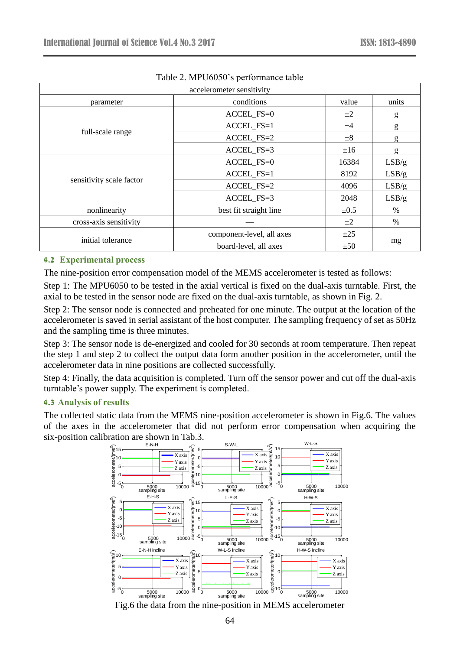|                          | accelerometer sensitivity    |           |       |
|--------------------------|------------------------------|-----------|-------|
| parameter                | conditions                   | value     | units |
|                          | ACCEL_FS=0                   | $\pm 2$   | g     |
| full-scale range         | ACCEL_FS=1                   | ±4        | g     |
|                          | ACCEL FS=2                   | $\pm 8$   | g     |
|                          | ACCEL_FS=3                   | ±16       | g     |
|                          | ACCEL_FS=0                   | 16384     | LSB/g |
|                          | ACCEL FS=1                   | 8192      | LSB/g |
| sensitivity scale factor | ACCEL_FS=2                   | 4096      | LSB/g |
|                          | ACCEL FS=3                   | 2048      | LSB/g |
| nonlinearity             | best fit straight line       | $\pm 0.5$ | $\%$  |
| cross-axis sensitivity   |                              | $\pm 2$   | $\%$  |
|                          | component-level, all axes    | $\pm 25$  |       |
| initial tolerance        | board-level, all axes<br>±50 |           | mg    |

## Table 2. MPU6050's performance table

### **4.2 Experimental process**

The nine-position error compensation model of the MEMS accelerometer is tested as follows:

Step 1: The MPU6050 to be tested in the axial vertical is fixed on the dual-axis turntable. First, the axial to be tested in the sensor node are fixed on the dual-axis turntable, as shown in Fig. 2.

Step 2: The sensor node is connected and preheated for one minute. The output at the location of the accelerometer is saved in serial assistant of the host computer. The sampling frequency of set as 50Hz and the sampling time is three minutes.

Step 3: The sensor node is de-energized and cooled for 30 seconds at room temperature. Then repeat the step 1 and step 2 to collect the output data form another position in the accelerometer, until the accelerometer data in nine positions are collected successfully.

Step 4: Finally, the data acquisition is completed. Turn off the sensor power and cut off the dual-axis turntable's power supply. The experiment is completed.

### **4.3 Analysis of results**

The collected static data from the MEMS nine-position accelerometer is shown in Fig.6. The values of the axes in the accelerometer that did not perform error compensation when acquiring the six-position calibration are shown in Tab.3.



Fig.6 the data from the nine-position in MEMS accelerometer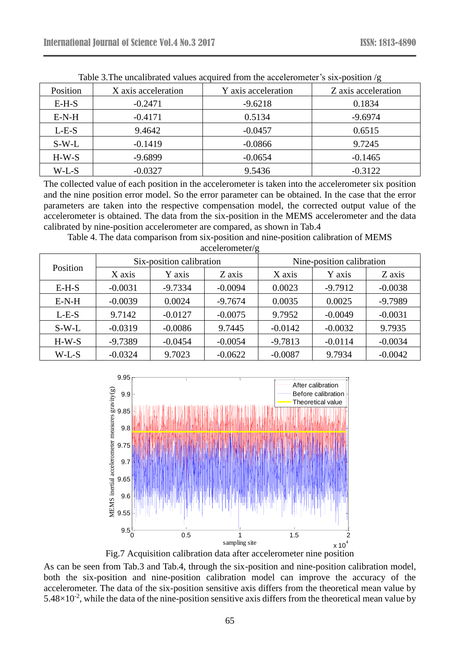| There exists anonipalities values appared from the accordination $\beta$ bin position $\beta$ |                     |                     |                     |  |  |
|-----------------------------------------------------------------------------------------------|---------------------|---------------------|---------------------|--|--|
| Position                                                                                      | X axis acceleration | Y axis acceleration | Z axis acceleration |  |  |
| $E-H-S$                                                                                       | $-0.2471$           | $-9.6218$           | 0.1834              |  |  |
| $E-N-H$                                                                                       | $-0.4171$           | 0.5134              | $-9.6974$           |  |  |
| $L-E-S$                                                                                       | 9.4642              | $-0.0457$           | 0.6515              |  |  |
| $S-W-L$                                                                                       | $-0.1419$           | $-0.0866$           | 9.7245              |  |  |
| $H-W-S$                                                                                       | $-9.6899$           | $-0.0654$           | $-0.1465$           |  |  |
| $W-L-S$                                                                                       | $-0.0327$           | 9.5436              | $-0.3122$           |  |  |

Table 3. The uncalibrated values acquired from the accelerometer's six-position /g

The collected value of each position in the accelerometer is taken into the accelerometer six position and the nine position error model. So the error parameter can be obtained. In the case that the error parameters are taken into the respective compensation model, the corrected output value of the accelerometer is obtained. The data from the six-position in the MEMS accelerometer and the data calibrated by nine-position accelerometer are compared, as shown in Tab.4

Table 4. The data comparison from six-position and nine-position calibration of MEMS

| accelerometer/g |
|-----------------|
|                 |

| Position | Six-position calibration |           | Nine-position calibration |           |           |           |
|----------|--------------------------|-----------|---------------------------|-----------|-----------|-----------|
|          | X axis                   | Y axis    | Z axis                    | X axis    | Y axis    | Z axis    |
| $E-H-S$  | $-0.0031$                | $-9.7334$ | $-0.0094$                 | 0.0023    | $-9.7912$ | $-0.0038$ |
| $E-N-H$  | $-0.0039$                | 0.0024    | $-9.7674$                 | 0.0035    | 0.0025    | $-9.7989$ |
| $L-E-S$  | 9.7142                   | $-0.0127$ | $-0.0075$                 | 9.7952    | $-0.0049$ | $-0.0031$ |
| $S-W-L$  | $-0.0319$                | $-0.0086$ | 9.7445                    | $-0.0142$ | $-0.0032$ | 9.7935    |
| $H-W-S$  | $-9.7389$                | $-0.0454$ | $-0.0054$                 | $-9.7813$ | $-0.0114$ | $-0.0034$ |
| W-L-S    | $-0.0324$                | 9.7023    | $-0.0622$                 | $-0.0087$ | 9.7934    | $-0.0042$ |



Fig.7 Acquisition calibration data after accelerometer nine position

As can be seen from Tab.3 and Tab.4, through the six-position and nine-position calibration model, both the six-position and nine-position calibration model can improve the accuracy of the accelerometer. The data of the six-position sensitive axis differs from the theoretical mean value by  $5.48\times10^{-2}$ , while the data of the nine-position sensitive axis differs from the theoretical mean value by